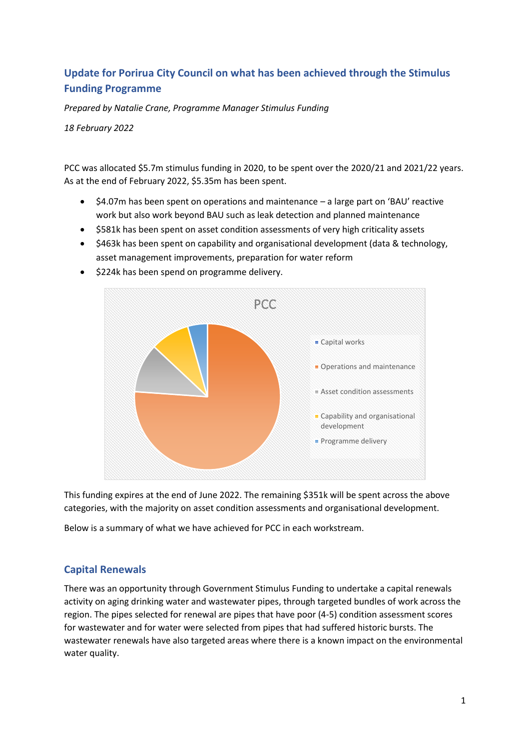# **Update for Porirua City Council on what has been achieved through the Stimulus Funding Programme**

*Prepared by Natalie Crane, Programme Manager Stimulus Funding*

*18 February 2022*

PCC was allocated \$5.7m stimulus funding in 2020, to be spent over the 2020/21 and 2021/22 years. As at the end of February 2022, \$5.35m has been spent.

- \$4.07m has been spent on operations and maintenance a large part on 'BAU' reactive work but also work beyond BAU such as leak detection and planned maintenance
- \$581k has been spent on asset condition assessments of very high criticality assets
- \$463k has been spent on capability and organisational development (data & technology, asset management improvements, preparation for water reform



• \$224k has been spend on programme delivery.

This funding expires at the end of June 2022. The remaining \$351k will be spent across the above categories, with the majority on asset condition assessments and organisational development.

Below is a summary of what we have achieved for PCC in each workstream.

## **Capital Renewals**

There was an opportunity through Government Stimulus Funding to undertake a capital renewals activity on aging drinking water and wastewater pipes, through targeted bundles of work across the region. The pipes selected for renewal are pipes that have poor (4-5) condition assessment scores for wastewater and for water were selected from pipes that had suffered historic bursts. The wastewater renewals have also targeted areas where there is a known impact on the environmental water quality.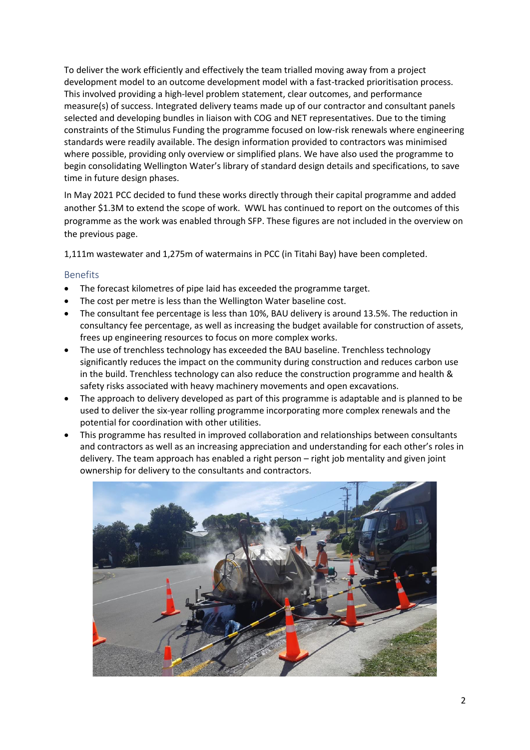To deliver the work efficiently and effectively the team trialled moving away from a project development model to an outcome development model with a fast-tracked prioritisation process. This involved providing a high-level problem statement, clear outcomes, and performance measure(s) of success. Integrated delivery teams made up of our contractor and consultant panels selected and developing bundles in liaison with COG and NET representatives. Due to the timing constraints of the Stimulus Funding the programme focused on low-risk renewals where engineering standards were readily available. The design information provided to contractors was minimised where possible, providing only overview or simplified plans. We have also used the programme to begin consolidating Wellington Water's library of standard design details and specifications, to save time in future design phases.

In May 2021 PCC decided to fund these works directly through their capital programme and added another \$1.3M to extend the scope of work. WWL has continued to report on the outcomes of this programme as the work was enabled through SFP. These figures are not included in the overview on the previous page.

1,111m wastewater and 1,275m of watermains in PCC (in Titahi Bay) have been completed.

#### Benefits

- The forecast kilometres of pipe laid has exceeded the programme target.
- The cost per metre is less than the Wellington Water baseline cost.
- The consultant fee percentage is less than 10%, BAU delivery is around 13.5%. The reduction in consultancy fee percentage, as well as increasing the budget available for construction of assets, frees up engineering resources to focus on more complex works.
- The use of trenchless technology has exceeded the BAU baseline. Trenchless technology significantly reduces the impact on the community during construction and reduces carbon use in the build. Trenchless technology can also reduce the construction programme and health & safety risks associated with heavy machinery movements and open excavations.
- The approach to delivery developed as part of this programme is adaptable and is planned to be used to deliver the six-year rolling programme incorporating more complex renewals and the potential for coordination with other utilities.
- This programme has resulted in improved collaboration and relationships between consultants and contractors as well as an increasing appreciation and understanding for each other's roles in delivery. The team approach has enabled a right person – right job mentality and given joint ownership for delivery to the consultants and contractors.

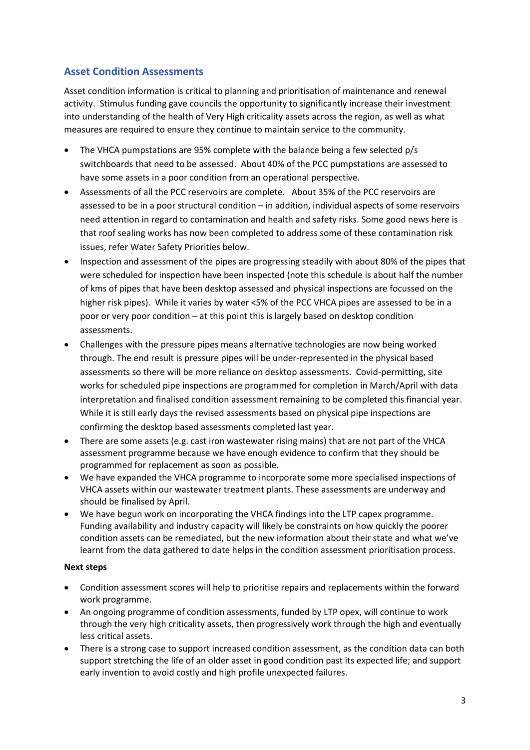## **Asset Condition Assessments**

Asset condition information is critical to planning and prioritisation of maintenance and renewal activity. Stimulus funding gave councils the opportunity to significantly increase their investment into understanding of the health of Very High criticality assets across the region, as well as what measures are required to ensure they continue to maintain service to the community.

- The VHCA pumpstations are 95% complete with the balance being a few selected p/s switchboards that need to be assessed. About 40% of the PCC pumpstations are assessed to have some assets in a poor condition from an operational perspective.
- Assessments of all the PCC reservoirs are complete. About 35% of the PCC reservoirs are assessed to be in a poor structural condition – in addition, individual aspects of some reservoirs need attention in regard to contamination and health and safety risks. Some good news here is that roof sealing works has now been completed to address some of these contamination risk issues, refer Water Safety Priorities below.
- Inspection and assessment of the pipes are progressing steadily with about 80% of the pipes that were scheduled for inspection have been inspected (note this schedule is about half the number of kms of pipes that have been desktop assessed and physical inspections are focussed on the higher risk pipes). While it varies by water <5% of the PCC VHCA pipes are assessed to be in a poor or very poor condition – at this point this is largely based on desktop condition assessments.
- Challenges with the pressure pipes means alternative technologies are now being worked through. The end result is pressure pipes will be under-represented in the physical based assessments so there will be more reliance on desktop assessments. Covid-permitting, site works for scheduled pipe inspections are programmed for completion in March/April with data interpretation and finalised condition assessment remaining to be completed this financial year. While it is still early days the revised assessments based on physical pipe inspections are confirming the desktop based assessments completed last year.
- There are some assets (e.g. cast iron wastewater rising mains) that are not part of the VHCA assessment programme because we have enough evidence to confirm that they should be programmed for replacement as soon as possible.
- We have expanded the VHCA programme to incorporate some more specialised inspections of VHCA assets within our wastewater treatment plants. These assessments are underway and should be finalised by April.
- We have begun work on incorporating the VHCA findings into the LTP capex programme. Funding availability and industry capacity will likely be constraints on how quickly the poorer condition assets can be remediated, but the new information about their state and what we've learnt from the data gathered to date helps in the condition assessment prioritisation process.

#### **Next steps**

- Condition assessment scores will help to prioritise repairs and replacements within the forward work programme.
- An ongoing programme of condition assessments, funded by LTP opex, will continue to work through the very high criticality assets, then progressively work through the high and eventually less critical assets.
- There is a strong case to support increased condition assessment, as the condition data can both support stretching the life of an older asset in good condition past its expected life; and support early invention to avoid costly and high profile unexpected failures.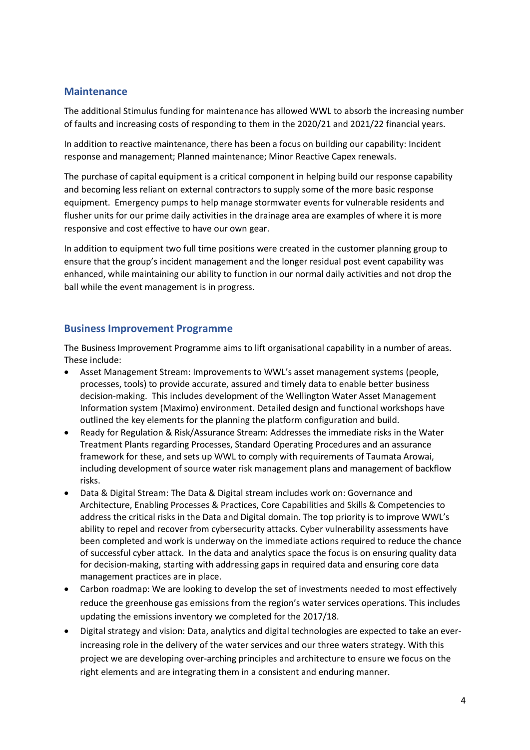#### **Maintenance**

The additional Stimulus funding for maintenance has allowed WWL to absorb the increasing number of faults and increasing costs of responding to them in the 2020/21 and 2021/22 financial years.

In addition to reactive maintenance, there has been a focus on building our capability: Incident response and management; Planned maintenance; Minor Reactive Capex renewals.

The purchase of capital equipment is a critical component in helping build our response capability and becoming less reliant on external contractors to supply some of the more basic response equipment. Emergency pumps to help manage stormwater events for vulnerable residents and flusher units for our prime daily activities in the drainage area are examples of where it is more responsive and cost effective to have our own gear.

In addition to equipment two full time positions were created in the customer planning group to ensure that the group's incident management and the longer residual post event capability was enhanced, while maintaining our ability to function in our normal daily activities and not drop the ball while the event management is in progress.

#### **Business Improvement Programme**

The Business Improvement Programme aims to lift organisational capability in a number of areas. These include:

- Asset Management Stream: Improvements to WWL's asset management systems (people, processes, tools) to provide accurate, assured and timely data to enable better business decision-making. This includes development of the Wellington Water Asset Management Information system (Maximo) environment. Detailed design and functional workshops have outlined the key elements for the planning the platform configuration and build.
- Ready for Regulation & Risk/Assurance Stream: Addresses the immediate risks in the Water Treatment Plants regarding Processes, Standard Operating Procedures and an assurance framework for these, and sets up WWL to comply with requirements of Taumata Arowai, including development of source water risk management plans and management of backflow risks.
- Data & Digital Stream: The Data & Digital stream includes work on: Governance and Architecture, Enabling Processes & Practices, Core Capabilities and Skills & Competencies to address the critical risks in the Data and Digital domain. The top priority is to improve WWL's ability to repel and recover from cybersecurity attacks. Cyber vulnerability assessments have been completed and work is underway on the immediate actions required to reduce the chance of successful cyber attack. In the data and analytics space the focus is on ensuring quality data for decision-making, starting with addressing gaps in required data and ensuring core data management practices are in place.
- Carbon roadmap: We are looking to develop the set of investments needed to most effectively reduce the greenhouse gas emissions from the region's water services operations. This includes updating the emissions inventory we completed for the 2017/18.
- Digital strategy and vision: Data, analytics and digital technologies are expected to take an everincreasing role in the delivery of the water services and our three waters strategy. With this project we are developing over-arching principles and architecture to ensure we focus on the right elements and are integrating them in a consistent and enduring manner.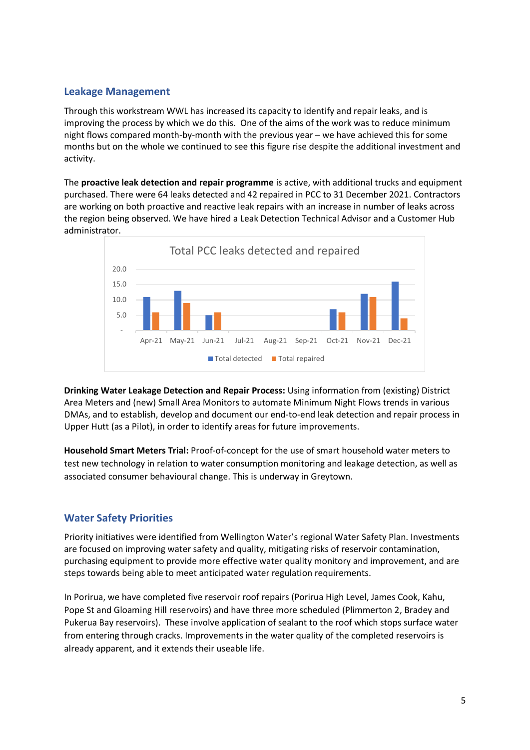### **Leakage Management**

Through this workstream WWL has increased its capacity to identify and repair leaks, and is improving the process by which we do this. One of the aims of the work was to reduce minimum night flows compared month-by-month with the previous year – we have achieved this for some months but on the whole we continued to see this figure rise despite the additional investment and activity.

The **proactive leak detection and repair programme** is active, with additional trucks and equipment purchased. There were 64 leaks detected and 42 repaired in PCC to 31 December 2021. Contractors are working on both proactive and reactive leak repairs with an increase in number of leaks across the region being observed. We have hired a Leak Detection Technical Advisor and a Customer Hub administrator.



**Drinking Water Leakage Detection and Repair Process:** Using information from (existing) District Area Meters and (new) Small Area Monitors to automate Minimum Night Flows trends in various DMAs, and to establish, develop and document our end-to-end leak detection and repair process in Upper Hutt (as a Pilot), in order to identify areas for future improvements.

**Household Smart Meters Trial:** Proof-of-concept for the use of smart household water meters to test new technology in relation to water consumption monitoring and leakage detection, as well as associated consumer behavioural change. This is underway in Greytown.

## **Water Safety Priorities**

Priority initiatives were identified from Wellington Water's regional Water Safety Plan. Investments are focused on improving water safety and quality, mitigating risks of reservoir contamination, purchasing equipment to provide more effective water quality monitory and improvement, and are steps towards being able to meet anticipated water regulation requirements.

In Porirua, we have completed five reservoir roof repairs (Porirua High Level, James Cook, Kahu, Pope St and Gloaming Hill reservoirs) and have three more scheduled (Plimmerton 2, Bradey and Pukerua Bay reservoirs). These involve application of sealant to the roof which stops surface water from entering through cracks. Improvements in the water quality of the completed reservoirs is already apparent, and it extends their useable life.